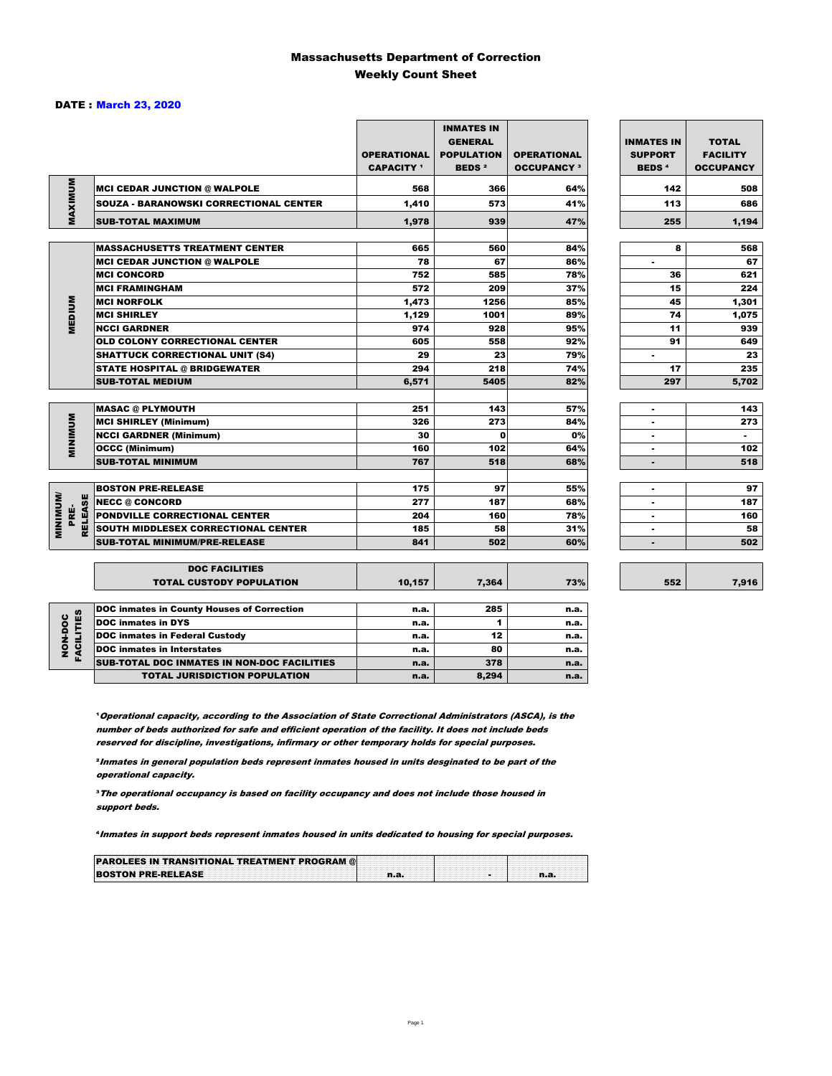### Massachusetts Department of Correction Weekly Count Sheet

#### DATE : March 23, 2020

|                                           |                                                               | <b>OPERATIONAL</b><br><b>CAPACITY</b> <sup>1</sup> | <b>INMATES IN</b><br><b>GENERAL</b><br><b>POPULATION</b><br><b>BEDS<sup>2</sup></b> | <b>OPERATIONAL</b><br><b>OCCUPANCY 3</b> | <b>INMATES IN</b><br><b>SUPPORT</b><br><b>BEDS<sup>4</sup></b> | <b>TOTAL</b><br><b>FACILITY</b><br><b>OCCUPANCY</b> |
|-------------------------------------------|---------------------------------------------------------------|----------------------------------------------------|-------------------------------------------------------------------------------------|------------------------------------------|----------------------------------------------------------------|-----------------------------------------------------|
| MAXIMUM                                   | <b>MCI CEDAR JUNCTION @ WALPOLE</b>                           | 568                                                | 366                                                                                 | 64%                                      | 142                                                            | 508                                                 |
|                                           | <b>SOUZA - BARANOWSKI CORRECTIONAL CENTER</b>                 | 1,410                                              | 573                                                                                 | 41%                                      | 113                                                            | 686                                                 |
|                                           | <b>SUB-TOTAL MAXIMUM</b>                                      | 1,978                                              | 939                                                                                 | 47%                                      | 255                                                            | 1,194                                               |
|                                           | <b>MASSACHUSETTS TREATMENT CENTER</b>                         | 665                                                | 560                                                                                 | 84%                                      | 8                                                              | 568                                                 |
|                                           | <b>MCI CEDAR JUNCTION @ WALPOLE</b>                           | 78                                                 | 67                                                                                  | 86%                                      | ٠                                                              | 67                                                  |
|                                           | <b>MCI CONCORD</b>                                            | 752                                                | 585                                                                                 | 78%                                      | 36                                                             | 621                                                 |
|                                           | <b>MCI FRAMINGHAM</b>                                         | 572                                                | 209                                                                                 | 37%                                      | 15                                                             | 224                                                 |
|                                           | <b>MCI NORFOLK</b>                                            | 1,473                                              | 1256                                                                                | 85%                                      | 45                                                             | 1,301                                               |
| <b>MEDIUM</b>                             | <b>MCI SHIRLEY</b>                                            | 1,129                                              | 1001                                                                                | 89%                                      | 74                                                             | 1,075                                               |
|                                           | <b>NCCI GARDNER</b>                                           | 974                                                | 928                                                                                 | 95%                                      | 11                                                             | 939                                                 |
|                                           | <b>OLD COLONY CORRECTIONAL CENTER</b>                         | 605                                                | 558                                                                                 | 92%                                      | 91                                                             | 649                                                 |
|                                           | <b>SHATTUCK CORRECTIONAL UNIT (S4)</b>                        | 29                                                 | 23                                                                                  | 79%                                      | ٠                                                              | 23                                                  |
|                                           | <b>STATE HOSPITAL @ BRIDGEWATER</b>                           | 294                                                | 218                                                                                 | 74%                                      | 17                                                             | 235                                                 |
|                                           | <b>SUB-TOTAL MEDIUM</b>                                       | 6,571                                              | 5405                                                                                | 82%                                      | 297                                                            | 5,702                                               |
|                                           |                                                               | 251                                                | 143                                                                                 | 57%                                      |                                                                | 143                                                 |
|                                           | <b>MASAC @ PLYMOUTH</b>                                       | 326                                                | 273                                                                                 |                                          |                                                                | 273                                                 |
| <b>MINIMUM</b>                            | <b>MCI SHIRLEY (Minimum)</b><br><b>NCCI GARDNER (Minimum)</b> | 30                                                 | $\mathbf o$                                                                         | 84%<br>0%                                |                                                                | $\sim$                                              |
|                                           |                                                               | 160                                                | 102                                                                                 | 64%                                      | ٠                                                              | 102                                                 |
|                                           | <b>OCCC (Minimum)</b><br><b>SUB-TOTAL MINIMUM</b>             | 767                                                | 518                                                                                 | 68%                                      | $\blacksquare$                                                 | 518                                                 |
|                                           |                                                               |                                                    |                                                                                     |                                          |                                                                |                                                     |
|                                           | <b>BOSTON PRE-RELEASE</b>                                     | 175                                                | 97                                                                                  | 55%                                      | $\overline{\phantom{a}}$                                       | 97                                                  |
|                                           | <b>NECC @ CONCORD</b>                                         | 277                                                | 187                                                                                 | 68%                                      |                                                                | 187                                                 |
| <b>MINIMINI</b><br><b>RELEASE</b><br>PRE- | <b>PONDVILLE CORRECTIONAL CENTER</b>                          | 204                                                | 160                                                                                 | 78%                                      | ٠                                                              | 160                                                 |
|                                           | SOUTH MIDDLESEX CORRECTIONAL CENTER                           | 185                                                | 58                                                                                  | 31%                                      | ٠                                                              | 58                                                  |
|                                           | <b>SUB-TOTAL MINIMUM/PRE-RELEASE</b>                          | 841                                                | 502                                                                                 | 60%                                      | $\blacksquare$                                                 | 502                                                 |
|                                           | <b>DOC FACILITIES</b>                                         |                                                    |                                                                                     |                                          |                                                                |                                                     |
|                                           | <b>TOTAL CUSTODY POPULATION</b>                               | 10,157                                             | 7,364                                                                               | 73%                                      | 552                                                            | 7,916                                               |
|                                           | <b>DOC inmates in County Houses of Correction</b>             | n.a.                                               | 285                                                                                 | n.a.                                     |                                                                |                                                     |
|                                           | <b>DOC</b> inmates in DYS                                     | n.a.                                               | 1                                                                                   | n.a.                                     |                                                                |                                                     |
| FACILITIES<br>NON-DOC                     | <b>DOC inmates in Federal Custody</b>                         | n.a.                                               | 12                                                                                  | n.a.                                     |                                                                |                                                     |
|                                           | <b>DOC</b> inmates in Interstates                             | n.a.                                               | 80                                                                                  | n.a.                                     |                                                                |                                                     |
|                                           | CUR TOTAL BOO INIMETED IN NON-BOO FACULTIED                   |                                                    | 270                                                                                 |                                          |                                                                |                                                     |

**Operational capacity, according to the Association of State Correctional Administrators (ASCA), is the** number of beds authorized for safe and efficient operation of the facility. It does not include beds reserved for discipline, investigations, infirmary or other temporary holds for special purposes.

SUB-TOTAL DOC INMATES IN NON-DOC FACILITIES n.a. 378 n.a. 378 n.a.

TOTAL JURISDICTION POPULATION **n.a.** 8,294 n.a.

²Inmates in general population beds represent inmates housed in units desginated to be part of the operational capacity.

³The operational occupancy is based on facility occupancy and does not include those housed in support beds.

⁴Inmates in support beds represent inmates housed in units dedicated to housing for special purposes.

| <b>PAROLEES IN TRANSITIONAL TREATMENT PROGRAM @</b> |  |  |
|-----------------------------------------------------|--|--|
| <b>BOSTON PRE-RELEASE</b>                           |  |  |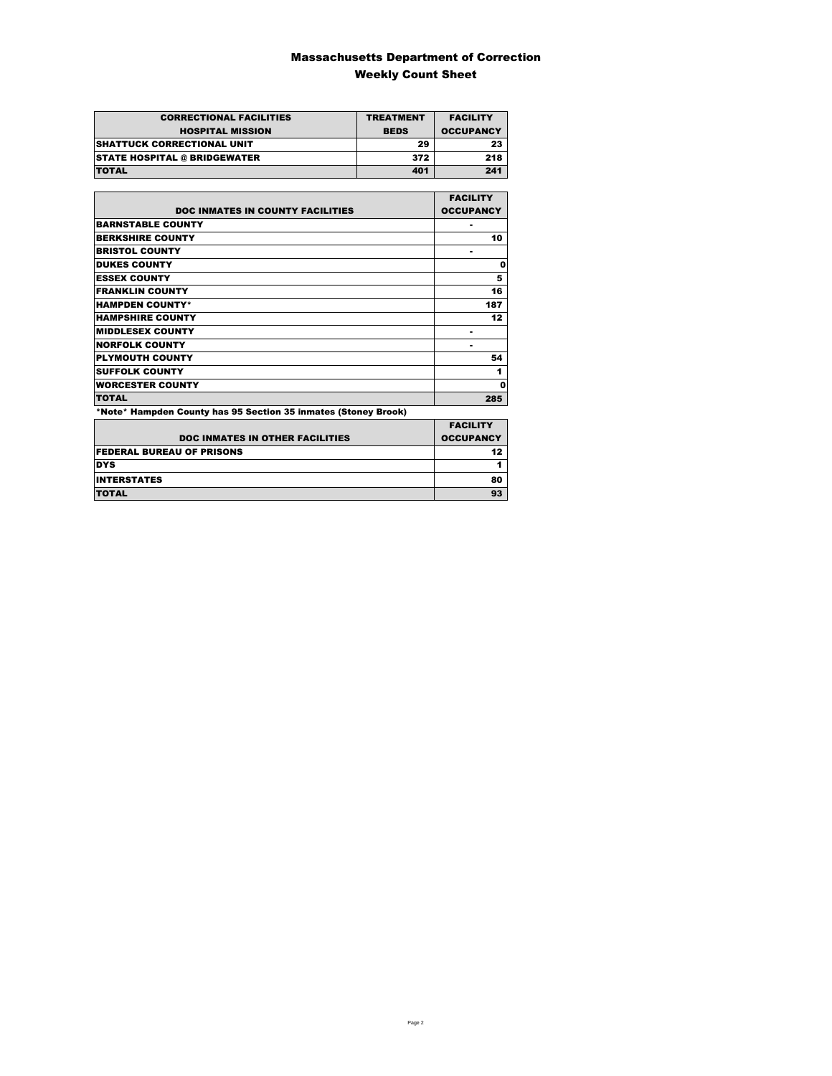### Massachusetts Department of Correction Weekly Count Sheet

| <b>CORRECTIONAL FACILITIES</b><br><b>HOSPITAL MISSION</b> | <b>TREATMENT</b><br><b>BEDS</b> | <b>FACILITY</b><br><b>OCCUPANCY</b> |
|-----------------------------------------------------------|---------------------------------|-------------------------------------|
| <b>SHATTUCK CORRECTIONAL UNIT</b>                         | 29                              | 23                                  |
| <b>STATE HOSPITAL @ BRIDGEWATER</b>                       | 372                             | 218                                 |
| <b>TOTAL</b>                                              | 401                             | 241                                 |

|                                                                | <b>FACILITY</b>  |
|----------------------------------------------------------------|------------------|
| <b>DOC INMATES IN COUNTY FACILITIES</b>                        | <b>OCCUPANCY</b> |
| <b>BARNSTABLE COUNTY</b>                                       |                  |
| <b>BERKSHIRE COUNTY</b>                                        | 10               |
| <b>BRISTOL COUNTY</b>                                          |                  |
| <b>DUKES COUNTY</b>                                            | 0                |
| <b>ESSEX COUNTY</b>                                            | 5                |
| <b>FRANKLIN COUNTY</b>                                         | 16               |
| <b>HAMPDEN COUNTY*</b>                                         | 187              |
| <b>HAMPSHIRE COUNTY</b>                                        | 12               |
| <b>MIDDLESEX COUNTY</b>                                        |                  |
| <b>NORFOLK COUNTY</b>                                          | ۰                |
| <b>PLYMOUTH COUNTY</b>                                         | 54               |
| <b>SUFFOLK COUNTY</b>                                          | 1                |
| <b>WORCESTER COUNTY</b>                                        | 0                |
| <b>TOTAL</b>                                                   | 285              |
| *Note* Hampden County has 95 Section 35 inmates (Stoney Brook) |                  |

|                                        | <b>FACILITY</b>  |
|----------------------------------------|------------------|
| <b>DOC INMATES IN OTHER FACILITIES</b> | <b>OCCUPANCY</b> |
| <b>FEDERAL BUREAU OF PRISONS</b>       | 12               |
| <b>DYS</b>                             |                  |
| <b>INTERSTATES</b>                     | 80               |
| <b>TOTAL</b>                           | 93               |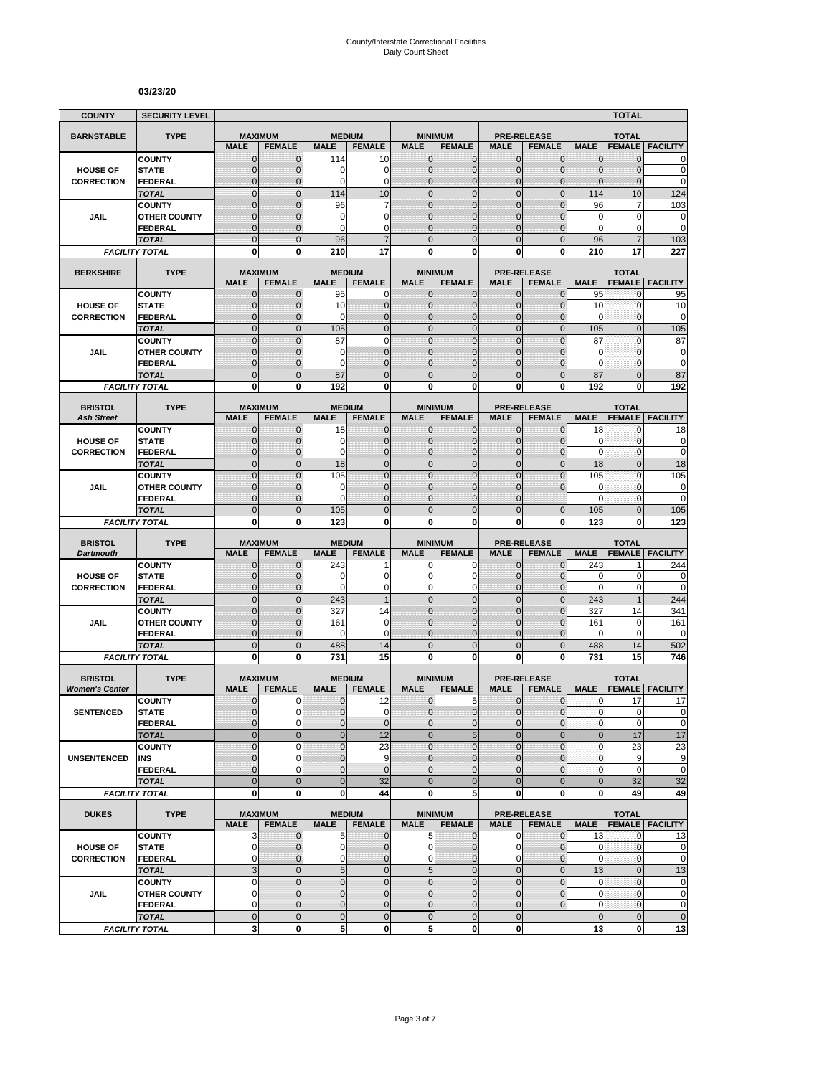#### **03/23/20**

| <b>COUNTY</b>                           | <b>SECURITY LEVEL</b>                 |                               |                               |                             |                                  |                                |                                  |                               |                                     |                                  | <b>TOTAL</b>                   |                                |
|-----------------------------------------|---------------------------------------|-------------------------------|-------------------------------|-----------------------------|----------------------------------|--------------------------------|----------------------------------|-------------------------------|-------------------------------------|----------------------------------|--------------------------------|--------------------------------|
| <b>BARNSTABLE</b>                       | <b>TYPE</b>                           | <b>MAXIMUM</b>                |                               |                             | <b>MEDIUM</b>                    |                                | <b>MINIMUM</b>                   |                               | <b>PRE-RELEASE</b>                  |                                  | <b>TOTAL</b>                   |                                |
|                                         |                                       | <b>MALE</b>                   | <b>FEMALE</b>                 | <b>MALE</b>                 | <b>FEMALE</b>                    | <b>MALE</b>                    | <b>FEMALE</b>                    | <b>MALE</b>                   | <b>FEMALE</b>                       | <b>MALE</b>                      | <b>FEMALE</b>                  | <b>FACILITY</b>                |
|                                         | <b>COUNTY</b>                         | $\mathbf 0$                   | $\mathbf{0}$                  | 114                         | 10                               | $\mathbf 0$                    | 0                                | $\mathbf{0}$                  | $\mathbf{0}$                        | 0                                | 0                              | 0                              |
| <b>HOUSE OF</b>                         | <b>STATE</b>                          | $\overline{0}$                | $\mathbf 0$                   | 0<br>0                      | 0<br>0                           | $\mathbf 0$<br>$\mathbf{0}$    | $\overline{0}$                   | $\mathbf{0}$                  | $\mathbf 0$                         | $\overline{0}$<br>$\overline{0}$ | 0                              | $\mathbf 0$<br>$\mathbf 0$     |
| <b>CORRECTION</b>                       | FEDERAL<br><b>TOTAL</b>               | $\mathbf 0$<br>$\mathbf 0$    | $\mathbf 0$<br>$\mathbf{0}$   | 114                         | 10                               | $\overline{0}$                 | $\mathbf 0$<br>$\mathbf 0$       | $\mathbf 0$<br>$\mathbf{0}$   | $\mathbf 0$<br>$\mathbf 0$          | 114                              | 0<br>10                        | 124                            |
|                                         | <b>COUNTY</b>                         | $\mathbf 0$                   | $\mathbf{0}$                  | 96                          | 7                                | $\mathbf 0$                    | $\mathbf 0$                      | $\mathbf 0$                   | $\overline{0}$                      | 96                               | 7                              | 103                            |
| JAIL                                    | <b>OTHER COUNTY</b>                   | $\mathbf 0$                   | $\mathbf{0}$                  | 0                           | 0                                | $\mathbf{0}$                   | $\overline{0}$                   | $\mathbf 0$                   | $\overline{0}$                      | $\mathbf 0$                      | 0                              | $\mathbf 0$                    |
|                                         | <b>FEDERAL</b>                        | $\overline{0}$                | $\mathbf{0}$                  | 0                           | 0                                | $\Omega$                       | $\overline{0}$                   | $\Omega$                      | $\overline{0}$                      | $\mathbf 0$                      | 0                              | $\mathbf 0$                    |
|                                         | <b>TOTAL</b>                          | $\overline{0}$                | $\Omega$                      | 96                          |                                  | $\Omega$                       | $\overline{0}$                   | $\Omega$                      | $\overline{0}$                      | 96                               |                                | 103                            |
|                                         | <b>FACILITY TOTAL</b>                 | 0                             | 0                             | 210                         | 17                               | $\mathbf{0}$                   | 0                                | 0                             | 0                                   | 210                              | 17                             | 227                            |
| <b>BERKSHIRE</b>                        | <b>TYPE</b>                           | <b>MAXIMUM</b>                |                               |                             | <b>MEDIUM</b>                    |                                | <b>MINIMUM</b>                   |                               | <b>PRE-RELEASE</b>                  |                                  | <b>TOTAL</b>                   |                                |
|                                         |                                       | <b>MALE</b>                   | <b>FEMALE</b>                 | <b>MALE</b>                 | <b>FEMALE</b>                    | <b>MALE</b>                    | <b>FEMALE</b>                    | <b>MALE</b>                   | <b>FEMALE</b>                       | <b>MALE</b>                      | <b>FEMALE</b>                  | <b>FACILITY</b>                |
|                                         | <b>COUNTY</b>                         | $\mathbf{0}$                  | $\mathbf 0$                   | 95                          | 0                                | $\mathbf{0}$                   | $\mathbf{0}$                     | $\mathbf{0}$                  | $\mathbf 0$                         | 95                               | 0                              | 95                             |
| <b>HOUSE OF</b>                         | <b>STATE</b>                          | 0                             | $\mathbf{0}$                  | 10                          | $\mathbf 0$                      | $\mathbf{0}$                   | $\mathbf 0$                      | $\mathbf{0}$                  | $\mathbf{0}$                        | 10                               | $\mathbf 0$                    | 10                             |
| <b>CORRECTION</b>                       | <b>FEDERAL</b>                        | $\mathbf 0$<br>$\overline{0}$ | $\mathbf 0$<br>$\mathbf{0}$   | 0<br>105                    | $\overline{0}$<br>$\overline{0}$ | $\mathbf{0}$<br>$\overline{0}$ | $\overline{0}$<br>$\overline{0}$ | $\mathbf{0}$<br>$\mathbf{0}$  | $\overline{0}$<br>$\overline{0}$    | 0<br>105                         | 0<br>$\overline{0}$            | 0                              |
|                                         | <b>TOTAL</b><br><b>COUNTY</b>         | $\overline{0}$                | $\overline{0}$                | 87                          | $\overline{0}$                   | $\mathbf 0$                    | $\overline{0}$                   | $\overline{0}$                | $\overline{0}$                      | 87                               | $\mathbf{0}$                   | 105<br>87                      |
| <b>JAIL</b>                             | <b>OTHER COUNTY</b>                   | 0                             | $\mathbf{0}$                  | 0                           | $\overline{0}$                   | $\mathbf{0}$                   | $\mathbf 0$                      | $\Omega$                      | $\mathbf{0}$                        | 0                                | $\mathbf{0}$                   | 0                              |
|                                         | <b>FEDERAL</b>                        | $\mathbf 0$                   | $\mathbf{0}$                  | 0                           | $\overline{0}$                   | $\mathbf{0}$                   | $\overline{0}$                   | $\mathbf 0$                   | $\overline{0}$                      | $\mathbf 0$                      | $\mathbf{0}$                   | $\mathbf 0$                    |
|                                         | <b>TOTAL</b>                          | $\mathbf 0$                   | $\mathbf{0}$                  | 87                          | $\overline{0}$                   | $\mathbf{0}$                   | $\mathbf 0$                      | $\mathbf{0}$                  | $\mathbf 0$                         | 87                               | $\overline{0}$                 | 87                             |
|                                         | <b>FACILITY TOTAL</b>                 | 0                             | $\bf{0}$                      | 192                         | 0                                | 0                              | $\bf{0}$                         | 0                             | 0                                   | 192                              | 0                              | 192                            |
| <b>BRISTOL</b>                          | <b>TYPE</b>                           | <b>MAXIMUM</b>                |                               |                             | <b>MEDIUM</b>                    |                                | <b>MINIMUM</b>                   |                               | <b>PRE-RELEASE</b>                  |                                  | <b>TOTAL</b>                   |                                |
| <b>Ash Street</b>                       |                                       | <b>MALE</b>                   | <b>FEMALE</b>                 | <b>MALE</b>                 | <b>FEMALE</b>                    | <b>MALE</b>                    | <b>FEMALE</b>                    | <b>MALE</b>                   | <b>FEMALE</b>                       | <b>MALE</b>                      | <b>FEMALE</b>                  | <b>FACILITY</b>                |
|                                         | <b>COUNTY</b>                         | 0                             | $\mathbf{0}$                  | 18                          | $\mathbf 0$                      | $\mathbf 0$                    | 0                                | $\mathbf{0}$                  | $\overline{0}$                      | 18                               | 0                              | 18                             |
| <b>HOUSE OF</b>                         | <b>STATE</b>                          | $\mathbf{0}$                  | $\mathbf{0}$                  | 0                           | $\mathbf 0$                      | $\mathbf{0}$                   | $\mathbf{0}$                     | $\mathbf{0}$                  | $\mathbf{0}$                        | 0                                | 0                              | 0                              |
| <b>CORRECTION</b>                       | <b>FEDERAL</b>                        | $\mathbf{0}$                  | $\mathbf{0}$                  | 0                           | $\overline{0}$                   | $\mathbf{0}$                   | $\overline{0}$                   | $\mathbf{0}$                  | $\overline{0}$                      | $\mathbf 0$                      | 0                              | $\mathbf 0$                    |
|                                         | <b>TOTAL</b>                          | $\overline{0}$                | $\mathbf{0}$                  | 18                          | $\overline{0}$                   | $\mathbf 0$                    | $\overline{0}$                   | $\mathbf{0}$                  | $\overline{0}$                      | 18                               | $\overline{0}$                 | 18                             |
| JAIL                                    | <b>COUNTY</b><br><b>OTHER COUNTY</b>  | $\overline{0}$<br>$\mathbf 0$ | $\Omega$<br>0                 | 105<br>0                    | $\overline{0}$<br>$\overline{0}$ | $\mathbf 0$<br>$\mathbf{0}$    | $\overline{0}$<br>$\overline{0}$ | $\overline{0}$<br>$\mathbf 0$ | $\overline{0}$<br>$\overline{0}$    | 105<br>$\mathbf 0$               | $\overline{0}$<br>$\mathbf{0}$ | 105<br>$\mathbf 0$             |
|                                         | FEDERAL                               | $\overline{0}$                | $\mathbf{0}$                  | 0                           | $\overline{0}$                   | $\Omega$                       | $\overline{0}$                   | $\Omega$                      |                                     | $\mathbf 0$                      | $\mathbf{0}$                   | $\mathbf 0$                    |
|                                         | <b>TOTAL</b>                          | $\overline{0}$                | $\mathbf{0}$                  | 105                         | $\overline{0}$                   | $\overline{0}$                 | $\overline{0}$                   | $\overline{0}$                | $\overline{0}$                      | 105                              | $\overline{0}$                 | 105                            |
|                                         | <b>FACILITY TOTAL</b>                 | 0                             | 0                             | 123                         | 0                                | 0                              | 0                                | 0                             | 0                                   | 123                              | 0                              | 123                            |
|                                         |                                       |                               |                               |                             |                                  |                                |                                  |                               |                                     |                                  |                                |                                |
| <b>BRISTOL</b><br><b>Dartmouth</b>      | <b>TYPE</b>                           | <b>MAXIMUM</b><br><b>MALE</b> | <b>FEMALE</b>                 | <b>MALE</b>                 | <b>MEDIUM</b><br><b>FEMALE</b>   | <b>MALE</b>                    | <b>MINIMUM</b><br><b>FEMALE</b>  | <b>MALE</b>                   | <b>PRE-RELEASE</b><br><b>FEMALE</b> | <b>MALE</b>                      | <b>TOTAL</b><br><b>FEMALE</b>  | <b>FACILITY</b>                |
|                                         | <b>COUNTY</b>                         | $\mathbf 0$                   | $\mathbf 0$                   | 243                         |                                  | 0                              | 0                                | $\mathbf 0$                   | $\overline{0}$                      | 243                              | 1                              | 244                            |
| <b>HOUSE OF</b>                         | <b>STATE</b>                          | $\mathbf 0$                   | $\mathbf{0}$                  | 0                           | 0                                | $\Omega$                       | 0                                | $\Omega$                      | $\mathbf{0}$                        | 0                                | $\mathbf 0$                    | 0                              |
| <b>CORRECTION</b>                       | <b>FEDERAL</b>                        | $\mathbf 0$                   | $\mathbf{0}$                  | 0                           | 0                                | $\mathbf 0$                    | 0                                | $\mathbf 0$                   | $\mathbf{0}$                        | $\mathbf 0$                      | 0                              | $\mathbf 0$                    |
|                                         | <b>TOTAL</b>                          | $\overline{0}$                | $\mathbf{0}$                  | 243                         | $\overline{1}$                   | $\overline{0}$                 | $\mathbf 0$                      | $\mathbf{0}$                  | $\overline{0}$                      | 243                              | $\mathbf{1}$                   | 244                            |
|                                         | <b>COUNTY</b>                         | $\mathbf 0$<br>$\overline{0}$ | $\mathbf{0}$<br>$\mathbf{0}$  | 327<br>161                  | 14<br>$\mathbf 0$                | $\mathbf{0}$<br>$\mathbf{0}$   | $\mathbf 0$<br>$\overline{0}$    | $\mathbf{0}$<br>$\mathbf 0$   | $\mathbf 0$<br>$\overline{0}$       | 327                              | 14<br>0                        | 341                            |
| JAIL                                    | <b>OTHER COUNTY</b><br>FEDERAL        | $\mathbf 0$                   | $\mathbf{0}$                  | 0                           | 0                                | $\mathbf{0}$                   | 0                                | $\mathbf{0}$                  | $\mathbf 0$                         | 161<br>0                         | $\mathbf 0$                    | 161<br>$\mathbf 0$             |
|                                         | <b>TOTAL</b>                          | $\mathbf 0$                   | $\overline{0}$                | 488                         | 14                               | $\mathbf 0$                    | $\mathbf 0$                      | $\overline{0}$                | $\mathbf 0$                         | 488                              | 14                             | 502                            |
|                                         | <b>FACILITY TOTAL</b>                 | $\mathbf{0}$                  | $\mathbf{0}$                  | 731                         | 15                               | $\mathbf{0}$                   | $\bf{0}$                         | 0                             | 0                                   | 731                              | 15                             | 746                            |
|                                         |                                       |                               |                               |                             |                                  |                                |                                  |                               |                                     |                                  |                                |                                |
| <b>BRISTOL</b><br><b>Women's Center</b> | <b>TYPE</b>                           | <b>MAXIMUM</b><br><b>MALE</b> | <b>FEMALE</b>                 | <b>MALE</b>                 | <b>MEDIUM</b><br><b>FEMALE</b>   | <b>MALE</b>                    | <b>MINIMUM</b><br><b>FEMALE</b>  | <b>MALE</b>                   | <b>PRE-RELEASE</b><br><b>FEMALE</b> | <b>MALE</b>                      | <b>TOTAL</b><br><b>FEMALE</b>  | <b>FACILITY</b>                |
|                                         | <b>COUNTY</b>                         | 0                             | 0                             | 0                           | 12                               | $\mathbf 0$                    | 5                                | 0                             | $\mathbf 0$                         | 0                                | 17                             | 17                             |
| <b>SENTENCED</b>                        | <b>STATE</b>                          | $\overline{0}$                | $\Omega$                      | $\overline{0}$              | $\mathbf 0$                      | $\overline{0}$                 | $\mathbf 0$                      | $\mathbf{0}$                  | $\mathbf 0$                         | $\mathbf{0}$                     | $\overline{0}$                 | $\mathbf 0$                    |
|                                         | <b>FEDERAL</b>                        | 0                             | $\mathbf 0$                   | 0                           | $\mathbf{0}$                     | $\mathbf{0}$                   | $\mathbf 0$                      | $\mathbf 0$                   | $\mathbf 0$                         | $\pmb{0}$                        | 0                              | $\pmb{0}$                      |
|                                         | <b>TOTAL</b>                          | $\mathbf 0$                   | $\mathbf{0}$                  | $\mathbf 0$                 | 12                               | $\mathbf{0}$                   | 5                                | $\mathbf{0}$                  | $\overline{0}$                      | $\bf 0$                          | 17                             | 17                             |
|                                         | <b>COUNTY</b>                         | $\mathbf 0$                   | $\mathbf 0$                   | $\overline{0}$              | 23                               | $\Omega$                       | $\overline{0}$                   | $\mathbf 0$                   | $\overline{0}$                      | $\pmb{0}$                        | 23                             | 23                             |
| <b>UNSENTENCED</b>                      | INS                                   | 0<br>$\overline{0}$           | $\mathbf 0$<br>$\Omega$       | $\pmb{0}$<br>$\overline{0}$ | 9<br>$\overline{0}$              | $\mathbf 0$<br>$\mathbf{0}$    | 0<br>$\overline{0}$              | $\mathbf{0}$<br>$\mathbf 0$   | $\mathbf{0}$<br>$\overline{0}$      | $\pmb{0}$<br>$\pmb{0}$           | 9<br>$\pmb{0}$                 | 9<br>$\mathbf 0$               |
|                                         | <b>FEDERAL</b><br><b>TOTAL</b>        | $\overline{0}$                | $\mathbf{0}$                  | $\mathbf 0$                 | 32                               | $\overline{0}$                 | $\overline{0}$                   | $\overline{0}$                | $\overline{0}$                      | $\bf 0$                          | 32                             | 32                             |
|                                         | <b>FACILITY TOTAL</b>                 | $\mathbf 0$                   | $\mathbf{0}$                  | 0                           | 44                               | $\mathbf{0}$                   | 5                                | $\mathbf 0$                   | 0                                   | 0                                | 49                             | 49                             |
|                                         |                                       |                               |                               |                             |                                  |                                |                                  |                               |                                     |                                  |                                |                                |
| <b>DUKES</b>                            | <b>TYPE</b>                           | <b>MAXIMUM</b>                |                               |                             | <b>MEDIUM</b>                    |                                | <b>MINIMUM</b>                   |                               | <b>PRE-RELEASE</b>                  |                                  | <b>TOTAL</b>                   |                                |
|                                         | <b>COUNTY</b>                         | <b>MALE</b><br>3              | <b>FEMALE</b><br>$\mathbf{0}$ | <b>MALE</b><br>5            | <b>FEMALE</b><br>$\mathbf 0$     | <b>MALE</b><br>5 <sub>l</sub>  | <b>FEMALE</b><br>$\mathbf{0}$    | <b>MALE</b><br>$\mathbf 0$    | <b>FEMALE</b><br>$\overline{0}$     | 13                               | $\mathbf{0}$                   | MALE   FEMALE   FACILITY<br>13 |
| <b>HOUSE OF</b>                         | <b>STATE</b>                          | $\mathbf 0$                   | 0                             | $\pmb{0}$                   | $\mathbf 0$                      | $\overline{0}$                 | 0                                | 0                             | $\mathbf 0$                         | 0                                | 0                              | $\pmb{0}$                      |
| <b>CORRECTION</b>                       | <b>FEDERAL</b>                        | 0                             | $\mathbf{0}$                  | 0                           | $\mathbf 0$                      | $\overline{0}$                 | $\overline{0}$                   | $\mathbf 0$                   | $\overline{0}$                      | $\pmb{0}$                        | 0                              | $\mathbf 0$                    |
|                                         | <b>TOTAL</b>                          | 3                             | $\mathbf 0$                   | 5                           | $\mathbf 0$                      | $5\overline{)}$                | $\mathbf 0$                      | $\mathbf 0$                   | $\overline{0}$                      | 13                               | $\mathbf 0$                    | 13                             |
|                                         | <b>COUNTY</b>                         | 0                             | $\mathbf 0$                   | $\pmb{0}$                   | $\mathbf 0$                      | $\mathbf{0}$                   | $\mathbf 0$                      | $\mathbf 0$                   | $\mathbf 0$                         | $\mathbf 0$                      | $\pmb{0}$                      | $\pmb{0}$                      |
| JAIL                                    | <b>OTHER COUNTY</b>                   | $\overline{0}$                | $\mathbf{0}$                  | $\mathbf 0$                 | $\overline{0}$                   | $\mathbf{0}$                   | $\mathbf 0$                      | $\mathbf{0}$                  | $\mathbf 0$                         | $\mathbf 0$                      | $\mathbf{0}$                   | $\pmb{0}$                      |
|                                         | <b>FEDERAL</b>                        | 0<br>$\mathbf 0$              | $\mathbf 0$<br>$\mathbf{0}$   | $\pmb{0}$<br>$\pmb{0}$      | 0                                | $\mathbf 0$<br>$\mathbf 0$     | 0<br>$\mathbf 0$                 | $\mathbf 0$<br>$\mathbf{0}$   | $\mathbf 0$                         | 0                                | $\pmb{0}$<br>$\mathbf 0$       | $\pmb{0}$<br>$\mathbf 0$       |
|                                         | <b>TOTAL</b><br><b>FACILITY TOTAL</b> | 3                             | $\mathbf 0$                   | 5                           | $\mathbf 0$<br>$\mathbf{0}$      | 5 <sup>1</sup>                 | $\mathbf{0}$                     | $\mathbf{0}$                  |                                     | $\pmb{0}$<br>13                  | 0                              | 13                             |
|                                         |                                       |                               |                               |                             |                                  |                                |                                  |                               |                                     |                                  |                                |                                |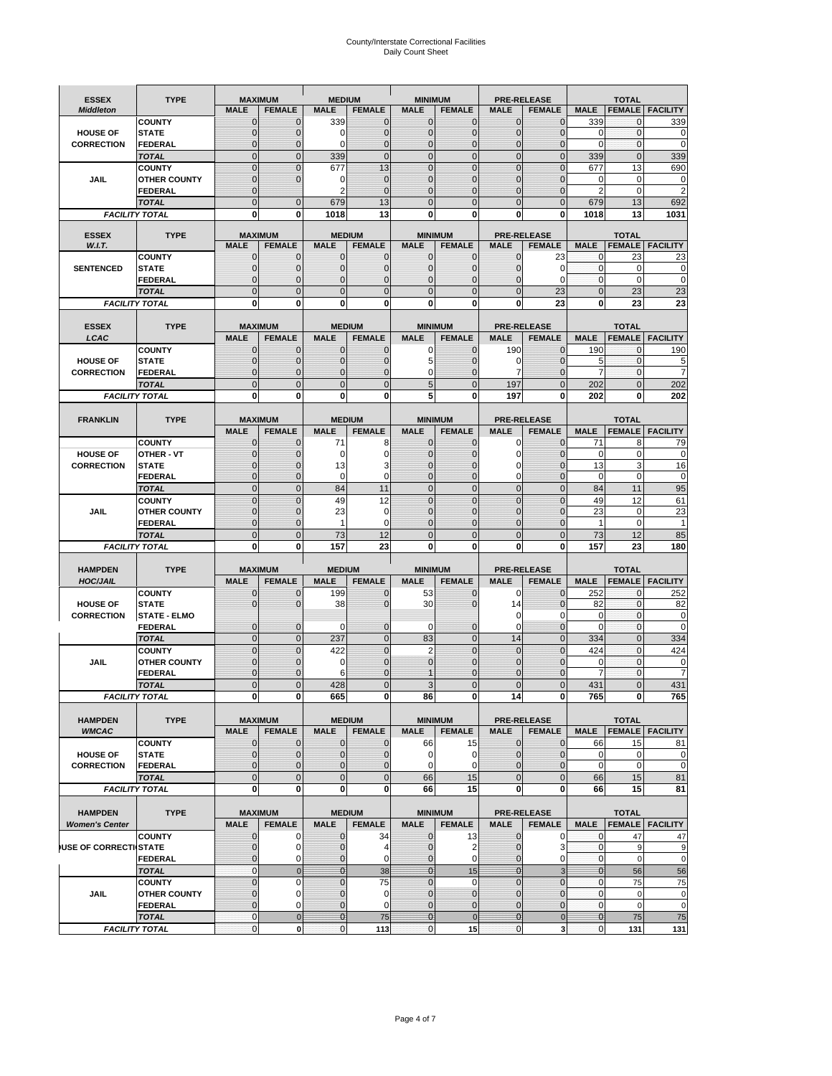# County/Interstate Correctional Facilities Daily Count Sheet

| <b>ESSEX</b>          | <b>TYPE</b>                    |                               | <b>MAXIMUM</b>                   | <b>MEDIUM</b>                 |                    | <b>MINIMUM</b>              |                                 |                               | <b>PRE-RELEASE</b>                  |                               | <b>TOTAL</b>                  |                        |
|-----------------------|--------------------------------|-------------------------------|----------------------------------|-------------------------------|--------------------|-----------------------------|---------------------------------|-------------------------------|-------------------------------------|-------------------------------|-------------------------------|------------------------|
| <b>Middleton</b>      |                                | <b>MALE</b>                   | <b>FEMALE</b>                    | <b>MALE</b>                   | <b>FEMALE</b>      | <b>MALE</b>                 | <b>FEMALE</b>                   | <b>MALE</b>                   | <b>FEMALE</b>                       | <b>MALE</b>                   | <b>FEMALE</b>                 | <b>FACILITY</b>        |
|                       | <b>COUNTY</b>                  | 0                             | 0                                | 339                           | 0                  | $\mathbf 0$                 | $\mathbf{0}$                    | $\mathbf{0}$                  | $\Omega$                            | 339                           | 0                             | 339                    |
| <b>HOUSE OF</b>       | <b>STATE</b>                   | 0                             | $\mathbf 0$                      | $\Omega$                      | 0                  | $\mathbf{0}$                | $\Omega$                        | $\mathbf 0$                   | $\Omega$                            | $\Omega$                      | $\Omega$                      | 0                      |
| <b>CORRECTION</b>     | <b>FEDERAL</b>                 | 0                             | $\mathbf 0$                      | 0                             | 0                  | $\mathbf{0}$                | $\mathbf 0$                     | $\mathbf{0}$                  | $\mathbf 0$                         | $\mathbf 0$                   | $\mathbf{0}$                  | $\mathbf 0$            |
|                       | <b>TOTAL</b><br><b>COUNTY</b>  | $\overline{0}$<br>$\mathbf 0$ | $\overline{0}$<br>$\overline{0}$ | 339<br>677                    | $\mathbf 0$<br>13  | $\mathbf 0$<br>$\mathbf{0}$ | $\overline{0}$<br>$\Omega$      | $\mathbf 0$<br>$\mathbf 0$    | $\overline{0}$<br>$\Omega$          | 339<br>677                    | $\mathbf{0}$<br>13            | 339<br>690             |
| JAIL                  | <b>OTHER COUNTY</b>            | $\mathbf 0$                   | $\overline{0}$                   | 0                             | $\mathbf{0}$       | $\mathbf{0}$                | $\mathbf{0}$                    | $\mathbf 0$                   | $\mathcal{C}$                       | 0                             | $\mathbf 0$                   | 0                      |
|                       | <b>FEDERAL</b>                 | $\mathbf{0}$                  |                                  | $\overline{2}$                | $\Omega$           | $\mathbf{0}$                | $\Omega$                        | $\mathbf{0}$                  | $\mathbf 0$                         | $\overline{2}$                | $\Omega$                      | $\overline{2}$         |
|                       | <b>TOTAL</b>                   | $\overline{0}$                | $\mathbf 0$                      | 679                           | 13                 | $\Omega$                    | $\Omega$                        | $\overline{0}$                | $\Omega$                            | 679                           | 13                            | 692                    |
|                       | <b>FACILITY TOTAL</b>          | 0                             | 0                                | 1018                          | 13                 | $\bf{0}$                    | 0                               | 0                             | 0                                   | 1018                          | 13                            | 1031                   |
| <b>ESSEX</b>          | <b>TYPE</b>                    |                               | <b>MAXIMUM</b>                   |                               | <b>MEDIUM</b>      |                             |                                 |                               |                                     |                               |                               |                        |
| W.I.T.                |                                | <b>MALE</b>                   | <b>FEMALE</b>                    | <b>MALE</b>                   | <b>FEMALE</b>      | <b>MALE</b>                 | <b>MINIMUM</b><br><b>FEMALE</b> | <b>MALE</b>                   | <b>PRE-RELEASE</b><br><b>FEMALE</b> | <b>MALE</b>                   | <b>TOTAL</b><br><b>FEMALE</b> | <b>FACILITY</b>        |
|                       | <b>COUNTY</b>                  | $\mathbf{0}$                  | 0                                | $\mathbf 0$                   | 0                  | $\mathbf 0$                 | $\mathbf{0}$                    | 0                             | 23                                  | 0                             | 23                            | 23                     |
| <b>SENTENCED</b>      | <b>STATE</b>                   | 0                             | $\mathbf 0$                      | $\mathbf{0}$                  | $\mathbf 0$        | $\mathbf{0}$                | $\mathbf{0}$                    | 0                             | $\Omega$                            | $\mathbf 0$                   | $\mathbf 0$                   | 0                      |
|                       | <b>FEDERAL</b>                 | $\overline{0}$                | $\mathbf 0$                      | $\mathbf{0}$                  | 0                  | $\mathbf{0}$                | 0                               | $\mathbf 0$                   | $\Omega$                            | $\mathbf{0}$                  | $\Omega$                      | $\mathbf 0$            |
|                       | <b>TOTAL</b>                   | $\overline{0}$                | $\overline{0}$                   | $\mathbf{0}$                  | $\overline{0}$     | $\mathbf{0}$                | $\overline{0}$                  | $\overline{0}$                | 23                                  | $\mathbf{0}$                  | 23                            | 23                     |
| <b>FACILITY TOTAL</b> |                                | 0                             | 0                                | $\bf{0}$                      | O                  | $\bf{0}$                    | 0                               | 0                             | 23                                  | $\bf{0}$                      | 23                            | 23                     |
| <b>ESSEX</b>          | <b>TYPE</b>                    |                               | <b>MAXIMUM</b>                   |                               | <b>MEDIUM</b>      |                             | <b>MINIMUM</b>                  |                               | <b>PRE-RELEASE</b>                  |                               | <b>TOTAL</b>                  |                        |
| LCAC                  |                                | <b>MALE</b>                   | <b>FEMALE</b>                    | <b>MALE</b>                   | <b>FEMALE</b>      | <b>MALE</b>                 | <b>FEMALE</b>                   | <b>MALE</b>                   | <b>FEMALE</b>                       | <b>MALE</b>                   |                               | <b>FEMALE</b> FACILITY |
|                       | <b>COUNTY</b>                  | 0                             | 0                                | $\mathbf{0}$                  | 0                  | 0                           | $\mathbf{0}$                    | 190                           | $\Omega$                            | 190                           | $\Omega$                      | 190                    |
| <b>HOUSE OF</b>       | <b>STATE</b>                   | 0                             | $\overline{0}$                   | $\mathbf{0}$                  | 0                  | 5                           | $\Omega$                        | 0                             | $\Omega$                            | 5                             | $\mathbf 0$                   | 5                      |
| <b>CORRECTION</b>     | FEDERAL                        | 0                             | 0                                | $\mathbf{0}$                  | 0                  | 0                           | $\Omega$                        | 7                             | $\Omega$                            | $\overline{7}$                | $\mathbf 0$                   | 7                      |
|                       | <b>TOTAL</b>                   | $\Omega$                      | $\overline{0}$                   | $\mathbf 0$                   | $\overline{0}$     | 5                           | $\Omega$                        | 197                           | $\Omega$                            | 202                           | $\Omega$                      | 202                    |
| <b>FACILITY TOTAL</b> |                                | 0                             | 0                                | 0                             | 0                  | 5                           | 0                               | 197                           | 0                                   | 202                           | 0                             | 202                    |
| <b>FRANKLIN</b>       | <b>TYPE</b>                    |                               | <b>MAXIMUM</b>                   |                               | <b>MEDIUM</b>      |                             | <b>MINIMUM</b>                  | <b>PRE-RELEASE</b>            |                                     |                               | <b>TOTAL</b>                  |                        |
|                       |                                | <b>MALE</b>                   | <b>FEMALE</b>                    | <b>MALE</b>                   | <b>FEMALE</b>      | <b>MALE</b>                 | <b>FEMALE</b>                   | <b>MALE</b>                   | <b>FEMALE</b>                       | <b>MALE</b>                   | <b>FEMALE</b>                 | <b>FACILITY</b>        |
|                       | <b>COUNTY</b>                  | $\mathbf{0}$                  | 0                                | 71                            | 8                  | $\mathbf{0}$                | 0                               | 0                             | $\Omega$                            | 71                            | 8                             | 79                     |
| <b>HOUSE OF</b>       | <b>OTHER - VT</b>              | 0                             | $\overline{0}$                   | $\mathbf 0$                   | 0                  | $\mathbf{0}$                | $\mathbf 0$                     | $\mathbf 0$                   | $\Omega$                            | $\mathbf 0$                   | $\mathbf 0$                   | $\mathbf 0$            |
| <b>CORRECTION</b>     | <b>STATE</b>                   | $\Omega$                      | $\mathbf 0$                      | 13                            | 3                  | $\Omega$                    | $\Omega$                        | 0                             | $\sqrt{ }$                          | 13                            | 3                             | 16                     |
|                       | FEDERAL                        | $\mathbf{0}$                  | $\overline{0}$                   | 0                             | 0                  | $\mathbf{0}$                | $\mathbf{0}$                    | 0                             | $\overline{0}$                      | $\mathbf 0$                   | $\mathbf 0$                   | $\pmb{0}$              |
|                       | <b>TOTAL</b><br><b>COUNTY</b>  | $\overline{0}$<br>$\Omega$    | $\overline{0}$<br>$\overline{0}$ | 84                            | 11                 | $\mathbf{0}$<br>$\Omega$    | $\mathbf{0}$<br>$\Omega$        | $\mathbf 0$<br>$\mathbf 0$    | $\overline{0}$<br>$\Omega$          | 84<br>49                      | 11                            | 95                     |
| JAIL                  | <b>OTHER COUNTY</b>            | 0                             | $\overline{0}$                   | 49<br>23                      | 12<br>0            | $\mathbf 0$                 | $\Omega$                        | $\mathbf 0$                   | $\sqrt{ }$                          | 23                            | 12<br>$\mathbf 0$             | 61<br>23               |
|                       | <b>FEDERAL</b>                 | 0                             | 0                                | $\mathbf{1}$                  | 0                  | $\mathbf{0}$                | $\Omega$                        | 0                             | $\mathcal{C}$                       | 1                             | $\mathbf 0$                   | 1                      |
|                       | <b>TOTAL</b>                   | $\mathbf{0}$                  | $\overline{0}$                   | 73                            | 12                 | $\mathbf{0}$                | $\Omega$                        | $\overline{0}$                | $\Omega$                            | 73                            | 12                            | 85                     |
|                       | <b>FACILITY TOTAL</b>          | 0                             | 0                                | 157                           | 23                 | $\bf{0}$                    | 0                               | 0                             | 0                                   | 157                           | 23                            | 180                    |
|                       |                                |                               |                                  |                               |                    |                             |                                 |                               |                                     |                               |                               |                        |
| <b>HAMPDEN</b>        | <b>TYPE</b>                    |                               | <b>MAXIMUM</b>                   | <b>MEDIUM</b>                 |                    | <b>MINIMUM</b>              |                                 |                               | <b>PRE-RELEASE</b>                  |                               | <b>TOTAL</b>                  |                        |
| <b>HOC/JAIL</b>       | <b>COUNTY</b>                  | <b>MALE</b><br>0              | <b>FEMALE</b><br>$\mathbf 0$     | <b>MALE</b><br>199            | <b>FEMALE</b><br>0 | <b>MALE</b><br>53           | <b>FEMALE</b><br>0              | <b>MALE</b><br>0              | <b>FEMALE</b><br>$\mathbf 0$        | <b>MALE</b><br>252            | <b>FEMALE</b><br>$\mathbf{0}$ | <b>FACILITY</b><br>252 |
| <b>HOUSE OF</b>       | <b>STATE</b>                   | 0                             | $\overline{0}$                   | 38                            | 0                  | 30                          | $\Omega$                        | 14                            | $\Omega$                            | 82                            | $\Omega$                      | 82                     |
| <b>CORRECTION</b>     | <b>STATE - ELMO</b>            |                               |                                  |                               |                    |                             |                                 | 0                             | 0                                   | 0                             | $\mathbf{0}$                  | $\mathbf 0$            |
|                       | <b>FEDERAL</b>                 | $\mathbf{0}$                  | $\mathbf 0$                      | $\Omega$                      | 0                  | 0                           | $\mathbf{0}$                    | $\mathbf 0$                   | $\mathbf 0$                         | $\Omega$                      | $\Omega$                      | 0                      |
|                       | <b>TOTAL</b>                   | $\overline{0}$                | $\overline{0}$                   | 237                           | $\overline{0}$     | 83                          | $\mathbf{0}$                    | 14                            | $\Omega$                            | 334                           | $\Omega$                      | 334                    |
|                       | <b>COUNTY</b>                  | $\overline{0}$                | $\overline{0}$                   | 422                           | 0                  | $\overline{2}$              | $\overline{0}$                  | $\overline{0}$                | $\overline{0}$                      | 424                           | $\mathbf{0}$                  | 424                    |
| <b>JAIL</b>           | <b>OTHER COUNTY</b>            | 0<br>$\Omega$                 | $\mathbf 0$<br>$\mathbf 0$       | 0                             | 0<br>$\Omega$      | $\mathbf 0$<br>$\mathbf 1$  | $\Omega$<br>$\Omega$            | $\mathbf 0$                   | $\sqrt{ }$<br>$\Omega$              | $\mathbf 0$<br>$\overline{7}$ | $\mathbf 0$<br>$\Omega$       | 0<br>$\overline{7}$    |
|                       | <b>FEDERAL</b><br><b>TOTAL</b> | $\overline{0}$                | $\overline{0}$                   | 6<br>428                      | $\Omega$           | 3                           | $\overline{0}$                  | $\mathbf 0$<br>$\overline{0}$ | $\overline{0}$                      | 431                           | $\Omega$                      | 431                    |
|                       | <b>FACILITY TOTAL</b>          | $\mathbf{0}$                  | $\boldsymbol{0}$                 | 665                           | o                  | 86                          | 0                               | 14                            | 0                                   | 765                           | $\mathbf{0}$                  | 765                    |
|                       |                                |                               |                                  |                               |                    |                             |                                 |                               |                                     |                               |                               |                        |
| <b>HAMPDEN</b>        | <b>TYPE</b>                    |                               | <b>MAXIMUM</b>                   |                               | <b>MEDIUM</b>      |                             | <b>MINIMUM</b>                  |                               | <b>PRE-RELEASE</b>                  |                               | <b>TOTAL</b>                  |                        |
| <b>WMCAC</b>          |                                | <b>MALE</b>                   | <b>FEMALE</b>                    | <b>MALE</b>                   | <b>FEMALE</b>      | <b>MALE</b>                 | <b>FEMALE</b>                   | <b>MALE</b>                   | <b>FEMALE</b>                       | <b>MALE</b>                   |                               | <b>FEMALE FACILITY</b> |
| <b>HOUSE OF</b>       | <b>COUNTY</b>                  | $\mathbf 0$<br>$\mathbf{0}$   | $\mathbf{0}$<br>$\mathbf{0}$     | $\mathbf 0$<br>$\overline{0}$ | 0                  | 66<br>$\pmb{0}$             | 15<br>$\mathbf 0$               | $\mathbf 0$<br>$\mathbf{0}$   | $\mathbf 0$                         | 66                            | 15<br>$\mathbf 0$             | 81                     |
| <b>CORRECTION</b>     | <b>STATE</b><br><b>FEDERAL</b> | $\mathbf{0}$                  | 0                                | $\overline{0}$                | 0<br>0             | $\mathbf 0$                 | 0                               | 0                             | 0<br>0                              | $\mathbf 0$<br>$\mathbf 0$    | $\mathbf 0$                   | 0<br>$\mathbf 0$       |
|                       | <b>TOTAL</b>                   | $\mathbf{0}$                  | $\overline{0}$                   | $\overline{0}$                | $\overline{0}$     | 66                          | 15                              | $\mathbf 0$                   | $\mathbf 0$                         | 66                            | 15                            | 81                     |
|                       | <b>FACILITY TOTAL</b>          | $\bf{0}$                      | 0                                | $\mathbf{0}$                  | 0                  | 66                          | 15                              | 0                             | $\mathbf 0$                         | 66                            | 15                            | 81                     |
|                       |                                |                               |                                  |                               |                    |                             |                                 |                               |                                     |                               |                               |                        |
| <b>HAMPDEN</b>        | <b>TYPE</b>                    |                               | <b>MAXIMUM</b>                   |                               | <b>MEDIUM</b>      |                             | <b>MINIMUM</b>                  |                               | <b>PRE-RELEASE</b>                  |                               | <b>TOTAL</b>                  |                        |
| <b>Women's Center</b> |                                | <b>MALE</b>                   | <b>FEMALE</b>                    | <b>MALE</b>                   | <b>FEMALE</b>      | <b>MALE</b>                 | <b>FEMALE</b>                   | <b>MALE</b>                   | <b>FEMALE</b>                       | <b>MALE</b>                   |                               | <b>FEMALE</b> FACILITY |
| USE OF CORRECTI STATE | <b>COUNTY</b>                  | 0<br>0                        | 0<br>$\mathbf 0$                 | $\mathbf 0$<br>$\mathbf{0}$   | 34                 | $\bf{0}$<br>$\mathbf{0}$    | 13<br>2                         | 0<br>$\mathbf 0$              | 0<br>3                              | 0<br>$\mathbf 0$              | 47<br>$\overline{9}$          | 47                     |
|                       | <b>FEDERAL</b>                 | 0                             | 0                                | 0                             | 4<br>0             | $\mathbf{0}$                | 0                               | $\mathbf{0}$                  | 0                                   | $\overline{0}$                | $\mathbf 0$                   | 9<br>$\mathbf 0$       |
|                       | <b>TOTAL</b>                   | $\mathbf{0}$                  | $\mathbf 0$                      | $\overline{0}$                | 38                 | $\mathbf{0}$                | 15                              | $\mathbf{0}$                  | 3                                   | $\mathbf{0}$                  | 56                            | 56                     |
|                       | <b>COUNTY</b>                  | $\overline{0}$                | $\mathbf 0$                      | $\mathbf{0}$                  | 75                 | $\mathbf{0}$                | $\mathbf 0$                     | $\overline{0}$                | $\mathbf 0$                         | $\mathbf{0}$                  | 75                            | 75                     |
| <b>JAIL</b>           | <b>OTHER COUNTY</b>            | 0                             | $\mathbf 0$                      | $\mathbf 0$                   | 0                  | $\mathbf 0$                 | $\mathbf{0}$                    | $\mathbf{0}$                  | $\mathbf 0$                         | $\mathbf 0$                   | $\mathbf 0$                   | $\pmb{0}$              |
|                       | <b>FEDERAL</b>                 | $\overline{0}$                | $\mathbf 0$                      | $\mathbf{0}$                  | 0                  | $\mathbf 0$                 | $\mathbf{0}$                    | $\mathbf 0$                   | $\overline{0}$                      | $\mathbf 0$                   | $\mathbf 0$                   | $\mathbf 0$            |
|                       | <b>TOTAL</b>                   | $\mathbf 0$                   | $\mathbf 0$                      | $\overline{0}$                | 75                 | $\overline{0}$              | $\mathbf 0$                     | $\mathbf{0}$                  | $\mathbf 0$                         | $\mathbf{0}$                  | 75                            | 75                     |
|                       | <b>FACILITY TOTAL</b>          | $\pmb{0}$                     | $\mathbf 0$                      | $\mathbf{O}$                  | 113                | $\mathbf{0}$                | 15                              | $\pmb{0}$                     | 3                                   | $\overline{0}$                | 131                           | 131                    |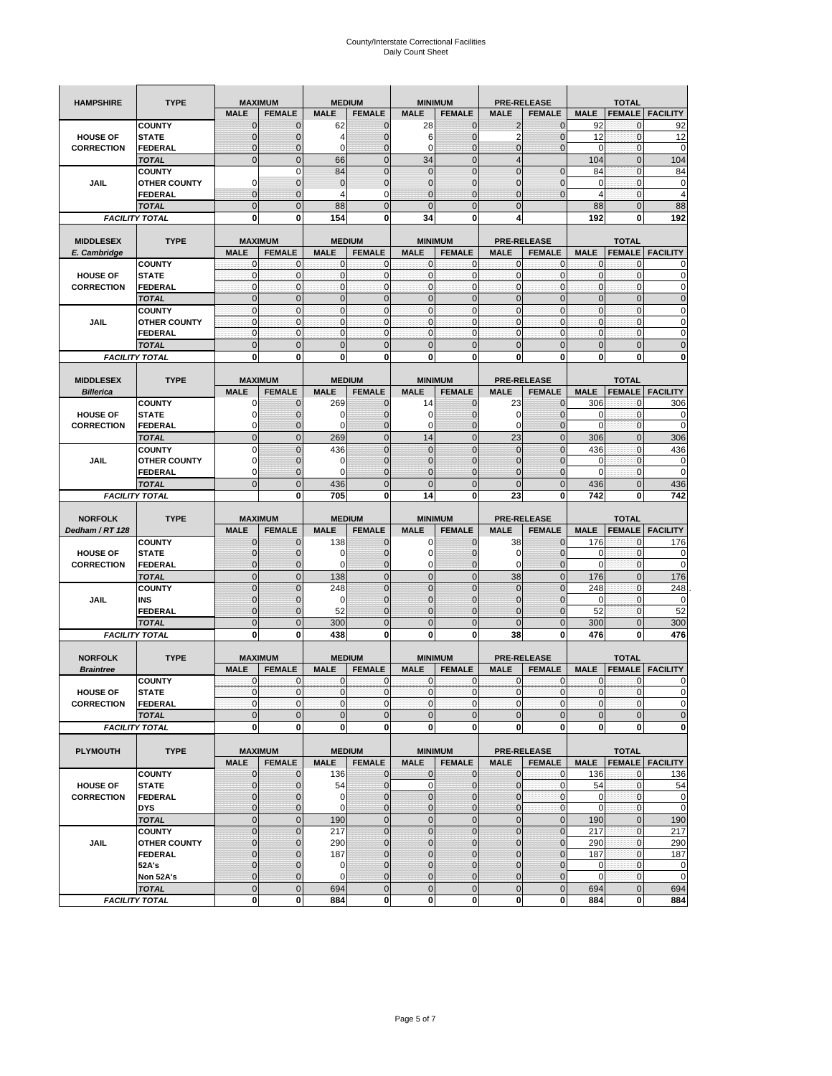| <b>HAMPSHIRE</b>                     | <b>TYPE</b>                           |                              | <b>MAXIMUM</b>              |                            | <b>MEDIUM</b>                |                            | <b>MINIMUM</b>                |                   | <b>PRE-RELEASE</b>     |                   | <b>TOTAL</b>             |                                                                                                                                                    |
|--------------------------------------|---------------------------------------|------------------------------|-----------------------------|----------------------------|------------------------------|----------------------------|-------------------------------|-------------------|------------------------|-------------------|--------------------------|----------------------------------------------------------------------------------------------------------------------------------------------------|
|                                      |                                       | <b>MALE</b>                  | <b>FEMALE</b>               | <b>MALE</b>                | <b>FEMALE</b>                | <b>MALE</b>                | <b>FEMALE</b>                 | <b>MALE</b>       | <b>FEMALE</b>          | <b>MALE</b>       | <b>FEMALE</b>            | <b>FACILITY</b>                                                                                                                                    |
|                                      | <b>COUNTY</b>                         | $\mathbf 0$                  | $\mathbf 0$                 | 62                         | $\mathbf 0$                  | 28                         | $\mathbf 0$                   | 2                 | 0                      | 92                | $\mathbf{0}$             | 92                                                                                                                                                 |
| <b>HOUSE OF</b>                      | <b>STATE</b>                          | $\mathbf{0}$                 | $\overline{0}$              | 4                          | $\overline{0}$               | 6                          | $\overline{0}$                | $\overline{2}$    | $\overline{0}$         | 12                | $\mathbf 0$              | 12                                                                                                                                                 |
| <b>CORRECTION</b>                    | <b>FEDERAL</b>                        | $\mathbf{0}$                 | 0                           | $\mathbf 0$                | $\overline{0}$               | 0                          | $\overline{0}$                | 0                 | $\mathbf 0$            | 0                 | 0                        | 0                                                                                                                                                  |
|                                      | <b>TOTAL</b>                          | $\mathbf{0}$                 | $\overline{0}$              | 66                         | $\mathbf{0}$                 | 34                         | $\mathbf{0}$                  | $\overline{4}$    |                        | 104               | $\mathbf{0}$             | 104                                                                                                                                                |
|                                      | <b>COUNTY</b>                         |                              | $\mathbf 0$                 | 84                         | $\overline{0}$               | $\mathbf 0$                | $\overline{0}$                | $\overline{0}$    | $\overline{0}$         | 84                | $\mathbf{0}$             | 84                                                                                                                                                 |
| JAIL                                 | <b>OTHER COUNTY</b>                   | $\Omega$                     | $\mathbf{0}$                | $\mathbf{0}$               | $\mathbf 0$                  | $\mathbf{0}$               | $\overline{0}$                | 0                 | $\mathbf 0$            | 0                 | $\mathbf 0$              | 0                                                                                                                                                  |
|                                      | FEDERAL                               | $\mathbf{0}$                 | $\overline{0}$              | 4                          | 0                            | $\overline{0}$             | $\mathbf{0}$                  | $\overline{0}$    | $\mathbf 0$            | $\overline{4}$    | $\mathbf{0}$             | $\overline{4}$                                                                                                                                     |
|                                      | <b>TOTAL</b>                          | $\mathbf{0}$                 | $\mathbf 0$                 | 88                         | $\mathbf 0$                  | $\overline{0}$             | $\mathbf 0$                   | $\mathbf{0}$      |                        | 88                | $\mathbf 0$              | 88                                                                                                                                                 |
|                                      | <b>FACILITY TOTAL</b>                 | 0                            | 0                           | 154                        | 0                            | 34                         | 0                             | 4                 |                        | 192               | 0                        | 192                                                                                                                                                |
|                                      |                                       |                              |                             |                            |                              |                            |                               |                   |                        |                   |                          |                                                                                                                                                    |
| <b>MIDDLESEX</b>                     | <b>TYPE</b>                           |                              | <b>MAXIMUM</b>              |                            | <b>MEDIUM</b>                |                            | <b>MINIMUM</b>                |                   | <b>PRE-RELEASE</b>     |                   | <b>TOTAL</b>             |                                                                                                                                                    |
| E. Cambridge                         | <b>COUNTY</b>                         | <b>MALE</b><br>0             | <b>FEMALE</b><br>0          | <b>MALE</b><br>$\mathbf 0$ | <b>FEMALE</b>                | <b>MALE</b><br>0           | <b>FEMALE</b><br>$\mathbf{0}$ | <b>MALE</b><br>0  | <b>FEMALE</b><br>0     | <b>MALE</b><br>0  | <b>FEMALE</b>            | <b>FACILITY</b>                                                                                                                                    |
| <b>HOUSE OF</b>                      | <b>STATE</b>                          | $\pmb{0}$                    | 0                           | $\mathbf{0}$               | 0<br>$\mathbf 0$             | $\mathbf 0$                | $\mathbf 0$                   | $\mathbf 0$       | $\mathbf 0$            | $\pmb{0}$         | 0<br>$\mathbf 0$         | 0<br>0                                                                                                                                             |
| <b>CORRECTION</b>                    | <b>FEDERAL</b>                        | $\mathbf{0}$                 | $\mathbf 0$                 | $\mathbf 0$                | $\mathbf 0$                  | $\mathbf 0$                | $\mathbf{0}$                  | $\mathbf 0$       | $\mathbf 0$            | $\mathbf{0}$      | $\mathbf 0$              | $\mathbf 0$                                                                                                                                        |
|                                      | <b>TOTAL</b>                          | $\Omega$                     | $\mathbf 0$                 | $\mathbf{0}$               | $\mathbf{0}$                 | $\mathbf 0$                | $\mathbf 0$                   | $\mathbf{0}$      | $\overline{0}$         | $\pmb{0}$         | $\mathbf{0}$             | $\mathbf 0$                                                                                                                                        |
|                                      | <b>COUNTY</b>                         | $\mathbf{0}$                 | $\mathbf{0}$                | $\mathbf{0}$               | $\mathbf{0}$                 | $\mathbf{0}$               | $\mathbf{0}$                  | $\mathbf{0}$      | $\mathbf 0$            | $\mathbf{0}$      | $\mathbf{0}$             | 0                                                                                                                                                  |
| JAIL                                 | <b>OTHER COUNTY</b>                   | 0                            | $\mathbf 0$                 | $\mathbf 0$                | 0                            | $\mathbf{0}$               | $\overline{0}$                | $\mathbf{0}$      | 0                      | $\pmb{0}$         | 0                        | 0                                                                                                                                                  |
|                                      | <b>FEDERAL</b>                        | $\mathbf{0}$                 | $\mathbf{0}$                | $\mathbf 0$                | $\mathbf 0$                  | $\mathbf{0}$               | $\overline{0}$                | $\mathbf{0}$      | $\mathbf 0$            | $\mathbf{0}$      | $\mathbf{0}$             | 0                                                                                                                                                  |
|                                      | <b>TOTAL</b>                          | $\mathbf 0$                  | $\overline{0}$              | $\overline{0}$             | $\overline{0}$               | $\overline{0}$             | $\overline{0}$                | $\overline{0}$    | $\overline{0}$         | $\mathbf{0}$      | $\overline{0}$           | $\overline{0}$                                                                                                                                     |
|                                      | <b>FACILITY TOTAL</b>                 | 0                            | 0                           | 0                          | 0                            | 0                          | 0                             | 0                 | 0                      | 0                 | 0                        | 0                                                                                                                                                  |
|                                      |                                       |                              |                             |                            |                              |                            |                               |                   |                        |                   |                          |                                                                                                                                                    |
| <b>MIDDLESEX</b>                     | <b>TYPE</b>                           |                              | <b>MAXIMUM</b>              |                            | <b>MEDIUM</b>                |                            | <b>MINIMUM</b>                |                   | <b>PRE-RELEASE</b>     |                   | <b>TOTAL</b>             |                                                                                                                                                    |
| <b>Billerica</b>                     |                                       | <b>MALE</b>                  | <b>FEMALE</b>               | <b>MALE</b>                | <b>FEMALE</b>                | <b>MALE</b>                | <b>FEMALE</b>                 | <b>MALE</b>       | <b>FEMALE</b>          | <b>MALE</b>       | <b>FEMALE</b>            | <b>FACILITY</b>                                                                                                                                    |
|                                      | <b>COUNTY</b>                         | 0                            | $\mathbf 0$                 | 269                        | 0                            | 14                         | $\mathbf{0}$                  | 23                | $\mathbf 0$            | 306               | 0                        | 306                                                                                                                                                |
| <b>HOUSE OF</b>                      | <b>STATE</b>                          | 0                            | $\mathbf 0$                 | 0                          | $\mathbf 0$                  | 0                          | 0                             | 0                 | $\mathbf 0$            | 0                 | $\mathbf 0$              | 0                                                                                                                                                  |
| <b>CORRECTION</b>                    | <b>FEDERAL</b>                        | 0                            | $\mathbf{0}$                | 0                          | 0                            | 0                          | $\mathbf 0$                   | 0                 | $\mathbf 0$            | 0                 | 0                        | 0                                                                                                                                                  |
|                                      | <b>TOTAL</b>                          | $\mathbf{0}$                 | $\mathbf 0$                 | 269                        | $\mathbf 0$                  | 14                         | $\overline{0}$                | 23                | $\overline{0}$         | 306               | $\mathbf{0}$             | 306                                                                                                                                                |
|                                      | <b>COUNTY</b>                         | $\Omega$                     | $\overline{0}$              | 436                        | $\Omega$                     | $\overline{0}$             | $\Omega$                      | $\overline{0}$    | $\Omega$               | 436               | $\mathbf 0$              | 436                                                                                                                                                |
| JAIL                                 | <b>OTHER COUNTY</b>                   | 0                            | $\mathbf 0$                 | 0                          | $\mathbf{0}$                 | $\mathbf 0$                | $\mathbf{0}$                  | $\mathbf{0}$      | $\overline{0}$         | 0                 | 0                        | 0                                                                                                                                                  |
|                                      | <b>FEDERAL</b>                        | $\Omega$                     | $\mathbf 0$                 | $\Omega$                   | $\mathbf 0$                  | $\mathbf 0$                | $\overline{0}$                | 0                 | $\mathbf 0$            | $\Omega$          | $\mathbf 0$              | $\mathbf 0$                                                                                                                                        |
|                                      | <b>TOTAL</b>                          | $\mathbf 0$                  | $\overline{0}$              | 436                        | $\overline{0}$               | $\overline{0}$             | $\overline{0}$                | $\overline{0}$    | $\overline{0}$         | 436               | $\overline{0}$           | 436                                                                                                                                                |
|                                      | <b>FACILITY TOTAL</b>                 |                              | 0                           | 705                        | 0                            | 14                         | $\mathbf{0}$                  | 23                | 0                      | 742               | 0                        | 742                                                                                                                                                |
|                                      |                                       |                              |                             |                            |                              |                            |                               |                   |                        |                   |                          |                                                                                                                                                    |
|                                      |                                       |                              |                             |                            |                              |                            |                               |                   |                        |                   |                          |                                                                                                                                                    |
| <b>NORFOLK</b>                       | <b>TYPE</b>                           |                              | <b>MAXIMUM</b>              |                            | <b>MEDIUM</b>                |                            | <b>MINIMUM</b>                |                   | <b>PRE-RELEASE</b>     |                   | <b>TOTAL</b>             |                                                                                                                                                    |
| Dedham / RT 128                      |                                       | <b>MALE</b>                  | <b>FEMALE</b>               | <b>MALE</b>                | <b>FEMALE</b>                | <b>MALE</b>                | <b>FEMALE</b>                 | <b>MALE</b>       | <b>FEMALE</b>          | <b>MALE</b>       | <b>FEMALE</b>            | <b>FACILITY</b>                                                                                                                                    |
| <b>HOUSE OF</b>                      | <b>COUNTY</b><br><b>STATE</b>         | 0<br>$\mathbf{0}$            | $\mathbf 0$<br>$\mathbf 0$  | 138<br>0                   | 0<br>$\mathbf{0}$            | 0<br>0                     | $\mathbf{0}$<br>$\mathbf{0}$  | 38<br>0           | 0<br>$\mathbf 0$       | 176<br>0          | 0<br>$\mathbf 0$         | 176<br>0                                                                                                                                           |
| <b>CORRECTION</b>                    | FEDERAL                               | $\mathbf{0}$                 | 0                           | 0                          | 0                            | 0                          | $\overline{0}$                | 0                 | 0                      | $\mathbf 0$       | $\mathbf 0$              | 0                                                                                                                                                  |
|                                      | <b>TOTAL</b>                          | $\pmb{0}$                    | $\mathbf 0$                 | 138                        | $\mathbf 0$                  | $\mathbf 0$                | $\overline{0}$                | 38                | $\mathbf 0$            | 176               | $\mathbf 0$              | 176                                                                                                                                                |
|                                      | <b>COUNTY</b>                         | $\Omega$                     | $\overline{0}$              | 248                        | $\overline{0}$               | $\overline{0}$             | $\Omega$                      | $\mathbf 0$       | $\overline{0}$         | 248               | 0                        | 248                                                                                                                                                |
| JAIL                                 | INS                                   | $\mathbf{0}$                 | 0                           | $\mathbf 0$                | $\mathbf{0}$                 | $\mathbf{0}$               | $\mathbf{0}$                  | 0                 | $\mathbf 0$            | 0                 | 0                        | 0                                                                                                                                                  |
|                                      | <b>FEDERAL</b>                        | $\mathbf{0}$                 | $\overline{0}$              | 52                         | $\mathbf 0$                  | $\overline{0}$             | $\Omega$                      | $\mathbf 0$       | $\mathbf 0$            | 52                | $\mathbf 0$              | 52                                                                                                                                                 |
|                                      | <b>TOTAL</b>                          | $\mathbf 0$                  | $\overline{0}$              | 300                        | $\overline{0}$               | $\overline{0}$             | $\overline{0}$                | $\Omega$          | $\overline{0}$         | 300               | $\mathbf{0}$             | 300                                                                                                                                                |
|                                      | <b>FACILITY TOTAL</b>                 | 0                            | 0                           | 438                        | 0                            | 0                          | 0                             | 38                | 0                      | 476               | 0                        | 476                                                                                                                                                |
|                                      |                                       |                              |                             |                            |                              |                            |                               |                   |                        |                   |                          |                                                                                                                                                    |
| <b>NORFOLK</b>                       | <b>TYPE</b>                           |                              | <b>MAXIMUM</b>              |                            | <b>MEDIUM</b>                |                            | <b>MINIMUM</b>                |                   | <b>PRE-RELEASE</b>     |                   | <b>TOTAL</b>             |                                                                                                                                                    |
| <b>Braintree</b>                     |                                       | <b>MALE</b>                  | <b>FEMALE</b>               | <b>MALE</b>                | <b>FEMALE</b>                | <b>MALE</b>                | <b>FEMALE</b>                 | <b>MALE</b>       | <b>FEMALE</b>          | <b>MALE</b>       | <b>FEMALE</b>            | <b>FACILITY</b>                                                                                                                                    |
|                                      | <b>COUNTY</b>                         | $\mathbf{0}$                 | $\mathbf{0}$                | $\mathbf 0$                | 0                            | 0                          | $\mathbf{0}$                  | 0                 | $\mathbf{0}$           | $\mathbf 0$       | 0                        |                                                                                                                                                    |
| <b>HOUSE OF</b>                      | <b>STATE</b>                          | $\Omega$                     | $\Omega$                    | $\Omega$                   | $\overline{0}$               | $\Omega$                   | $\Omega$                      | $\mathbf{0}$      | $\Omega$               | $\Omega$          | $\Omega$                 |                                                                                                                                                    |
| <b>CORRECTION</b>                    | FEDERAL                               | $\mathbf 0$                  | 0                           | $\mathbf 0$                | $\bf{0}$                     | $\mathbf 0$                | $\overline{0}$                | $\mathbf 0$       | $\mathbf 0$            | $\overline{0}$    | $\mathbf 0$              |                                                                                                                                                    |
|                                      | <b>TOTAL</b>                          | $\mathbf 0$                  | $\overline{0}$              | $\mathbf{0}$               | $\mathbf 0$                  | $\mathbf 0$                | $\mathbf 0$                   | $\mathbf 0$       | $\mathbf 0$            | $\mathbf 0$       | $\pmb{0}$                |                                                                                                                                                    |
|                                      | <b>FACILITY TOTAL</b>                 | $\mathbf 0$                  | 0                           | 0                          | 0                            | $\mathbf 0$                | <sub>0</sub>                  | 0                 | 0                      | $\mathbf{0}$      | $\mathbf 0$              |                                                                                                                                                    |
|                                      |                                       |                              |                             |                            |                              |                            |                               |                   |                        |                   |                          |                                                                                                                                                    |
| <b>PLYMOUTH</b>                      | <b>TYPE</b>                           |                              | <b>MAXIMUM</b>              |                            | <b>MEDIUM</b>                |                            | <b>MINIMUM</b>                |                   | PRE-RELEASE            |                   | <b>TOTAL</b>             | 0<br>0                                                                                                                                             |
|                                      |                                       | <b>MALE</b>                  | <b>FEMALE</b>               | <b>MALE</b>                | <b>FEMALE</b>                | <b>MALE</b>                | <b>FEMALE</b>                 | <b>MALE</b>       | <b>FEMALE</b>          | <b>MALE</b>       |                          | <b>FEMALE   FACILITY</b>                                                                                                                           |
|                                      | <b>COUNTY</b><br><b>STATE</b>         | $\mathbf{0}$<br>$\mathbf{0}$ | 0                           | 136                        | $\mathbf{0}$<br>$\mathbf{0}$ | 0                          | $\mathbf{O}$<br>$\mathbf{0}$  | 0<br>$\mathbf{0}$ | 0                      | 136               | $\mathbf 0$              |                                                                                                                                                    |
| <b>HOUSE OF</b><br><b>CORRECTION</b> | <b>FEDERAL</b>                        | $\mathbf 0$                  | $\mathbf 0$<br>$\mathbf{0}$ | 54<br>$\mathbf 0$          | $\pmb{0}$                    | $\mathbf 0$<br>$\mathbf 0$ | $\mathbf{0}$                  | $\mathbf{0}$      | 0<br>0                 | 54<br>$\mathbf 0$ | $\pmb{0}$<br>$\mathbf 0$ |                                                                                                                                                    |
|                                      | <b>DYS</b>                            | $\mathbf{0}$                 | $\mathbf{0}$                | 0                          | $\mathbf{0}$                 | $\mathbf 0$                | $\mathbf{0}$                  | 0                 | $\mathbf{0}$           | $\mathbf 0$       | $\mathbf{O}$             |                                                                                                                                                    |
|                                      | <b>TOTAL</b>                          | $\mathbf 0$                  | $\mathbf 0$                 | 190                        | $\mathbf 0$                  | $\mathbf 0$                | $\mathbf 0$                   | $\mathbf 0$       | $\pmb{0}$              | 190               | $\mathbf{0}$             |                                                                                                                                                    |
|                                      | <b>COUNTY</b>                         | $\mathbf 0$                  | $\mathbf 0$                 | 217                        | $\mathbf{0}$                 | $\mathbf 0$                | $\overline{0}$                | $\mathbf 0$       | $\mathbf 0$            | 217               | $\mathbf 0$              | 217                                                                                                                                                |
| JAIL                                 | <b>OTHER COUNTY</b>                   | $\mathbf{0}$                 | $\mathbf{0}$                | 290                        | $\mathbf 0$                  | $\mathbf 0$                | $\mathbf{0}$                  | 0                 | $\mathbf{0}$           | 290               | $\mathbf 0$              |                                                                                                                                                    |
|                                      | <b>FEDERAL</b>                        | $\mathbf{0}$                 | $\mathbf{0}$                | 187                        | 0                            | $\mathbf 0$                | $\overline{0}$                | $\mathbf 0$       | $\overline{0}$         | 187               | $\mathbf 0$              |                                                                                                                                                    |
|                                      | 52A's                                 | $\mathbf{0}$                 | $\mathbf{0}$                | 0                          | $\mathbf{0}$                 | $\mathbf 0$                | $\overline{0}$                | 0                 | $\mathbf 0$            | $\mathbf 0$       | $\mathbf{O}$             |                                                                                                                                                    |
|                                      | Non 52A's                             | $\mathbf{0}$                 | $\mathbf{0}$                | $\mathbf 0$                | $\mathbf{0}$                 | $\mathbf 0$                | $\overline{0}$                | $\mathbf 0$       | 0                      | $\mathbf 0$       | $\mathbf 0$              |                                                                                                                                                    |
|                                      | <b>TOTAL</b><br><b>FACILITY TOTAL</b> | $\mathbf 0$<br>0             | $\mathbf 0$<br>0            | 694<br>884                 | $\mathbf 0$<br>0             | $\mathbf 0$<br>$\mathbf 0$ | $\mathbf{0}$<br>$\mathbf{0}$  | $\mathbf 0$<br>0  | $\pmb{0}$<br>$\pmb{0}$ | 694<br>884        | $\mathbf 0$<br>$\bf{0}$  | $\Omega$<br>$\mathbf 0$<br>$\mathbf 0$<br>136<br>54<br>$\mathbf 0$<br>$\mathbf 0$<br>190<br>290<br>187<br>$\mathbf 0$<br>$\mathbf 0$<br>694<br>884 |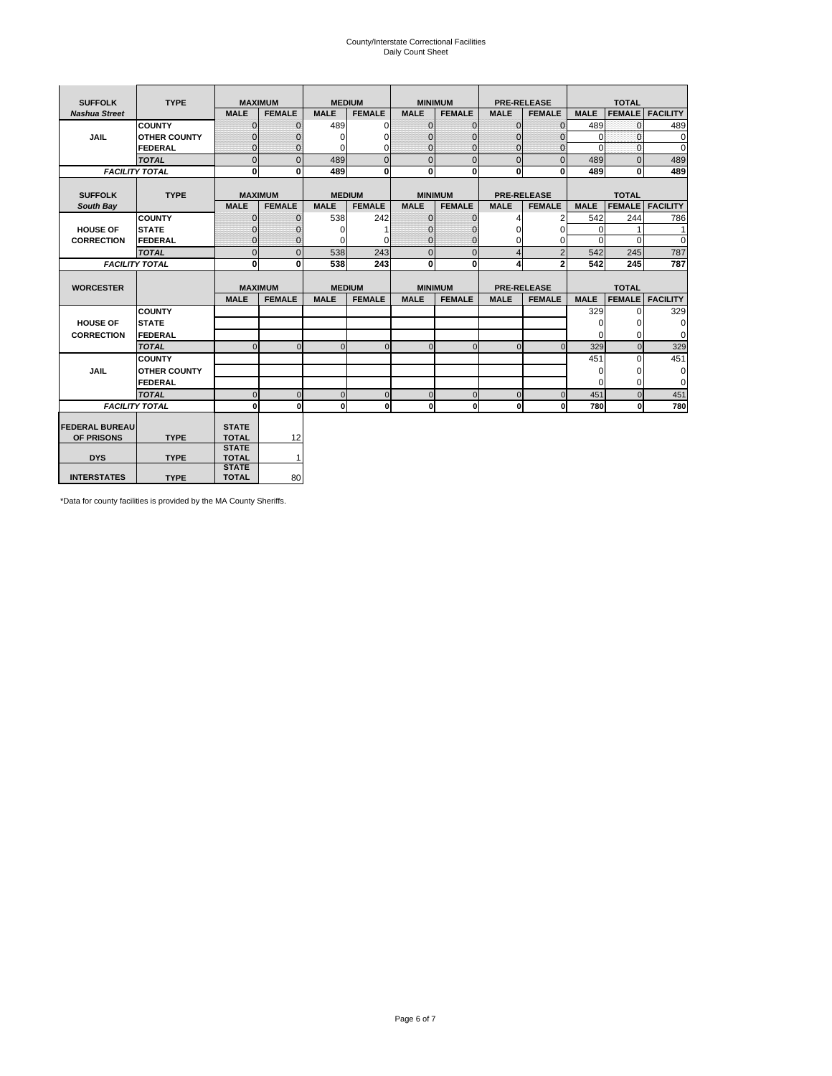# County/Interstate Correctional Facilities Daily Count Sheet

| <b>SUFFOLK</b>        | <b>TYPE</b>           |                              | <b>MAXIMUM</b> |             | <b>MEDIUM</b> |                | <b>MINIMUM</b> |                | <b>PRE-RELEASE</b> |             | <b>TOTAL</b>  |                 |
|-----------------------|-----------------------|------------------------------|----------------|-------------|---------------|----------------|----------------|----------------|--------------------|-------------|---------------|-----------------|
| <b>Nashua Street</b>  |                       | <b>MALE</b>                  | <b>FEMALE</b>  | <b>MALE</b> | <b>FEMALE</b> | <b>MALE</b>    | <b>FEMALE</b>  | <b>MALE</b>    | <b>FEMALE</b>      | <b>MALE</b> | <b>FEMALE</b> | <b>FACILITY</b> |
|                       | <b>COUNTY</b>         | $\Omega$                     | $\mathbf{0}$   | 489         | $\Omega$      | $\mathbf{0}$   | $\Omega$       | $\mathbf{0}$   | $\Omega$           | 489         | $\Omega$      | 489             |
| JAIL                  | <b>OTHER COUNTY</b>   | $\Omega$                     | $\Omega$       | $\Omega$    | 0             | $\Omega$       | $\Omega$       | $\Omega$       | $\Omega$           | $\Omega$    | $\Omega$      | 0               |
|                       | <b>FEDERAL</b>        | $\mathbf{0}$                 | $\mathbf{0}$   | 0           | 0             | $\mathbf{0}$   | $\mathbf{0}$   | $\mathbf 0$    | $\mathbf{0}$       | $\Omega$    | 0             | 0               |
|                       | <b>TOTAL</b>          | $\Omega$                     | $\Omega$       | 489         | $\Omega$      | $\overline{0}$ | $\Omega$       | $\Omega$       | $\Omega$           | 489         | $\Omega$      | 489             |
|                       | <b>FACILITY TOTAL</b> | 0                            | $\mathbf{0}$   | 489         | 0             | $\mathbf{0}$   | $\bf{0}$       | $\mathbf{0}$   | 0                  | 489         | 0             | 489             |
|                       |                       |                              |                |             |               |                |                |                |                    |             |               |                 |
| <b>SUFFOLK</b>        | <b>TYPE</b>           |                              | <b>MAXIMUM</b> |             | <b>MEDIUM</b> |                | <b>MINIMUM</b> |                | <b>PRE-RELEASE</b> |             | <b>TOTAL</b>  |                 |
| South Bay             |                       | <b>MALE</b>                  | <b>FEMALE</b>  | <b>MALE</b> | <b>FEMALE</b> | <b>MALE</b>    | <b>FEMALE</b>  | <b>MALE</b>    | <b>FEMALE</b>      | <b>MALE</b> | <b>FEMALE</b> | <b>FACILITY</b> |
|                       | <b>COUNTY</b>         | $\Omega$                     | $\mathbf{0}$   | 538         | 242           | $\mathbf{0}$   | $\mathbf{0}$   | 4              | 2                  | 542         | 244           | 786             |
| <b>HOUSE OF</b>       | <b>STATE</b>          |                              | $\overline{0}$ | $\Omega$    |               | $\Omega$       | O              | $\Omega$       | $\Omega$           | $\Omega$    |               | 1               |
| <b>CORRECTION</b>     | <b>FEDERAL</b>        | $\Omega$                     | $\overline{0}$ | 0           | 0             | $\mathbf{0}$   | $\mathbf{0}$   | $\Omega$       | 0                  | $\Omega$    | $\Omega$      | $\Omega$        |
|                       | <b>TOTAL</b>          | $\Omega$                     | $\overline{0}$ | 538         | 243           | $\mathbf 0$    | $\mathbf{0}$   | $\overline{4}$ | $\overline{2}$     | 542         | 245           | 787             |
|                       | <b>FACILITY TOTAL</b> | 0                            | 0              | 538         | 243           | $\mathbf{0}$   | 0              | 4              | $\overline{2}$     | 542         | 245           | 787             |
|                       |                       |                              |                |             |               |                |                |                |                    |             |               |                 |
| <b>WORCESTER</b>      |                       |                              | <b>MAXIMUM</b> |             | <b>MEDIUM</b> |                | <b>MINIMUM</b> |                | <b>PRE-RELEASE</b> |             | <b>TOTAL</b>  |                 |
|                       |                       | <b>MALE</b>                  | <b>FEMALE</b>  | <b>MALE</b> | <b>FEMALE</b> | <b>MALE</b>    | <b>FEMALE</b>  | <b>MALE</b>    | <b>FEMALE</b>      | <b>MALE</b> | <b>FEMALE</b> | <b>FACILITY</b> |
|                       | <b>COUNTY</b>         |                              |                |             |               |                |                |                |                    | 329         | $\Omega$      | 329             |
| <b>HOUSE OF</b>       | <b>STATE</b>          |                              |                |             |               |                |                |                |                    | 0           | 0             | 0               |
| <b>CORRECTION</b>     | FEDERAL               |                              |                |             |               |                |                |                |                    | $\Omega$    | $\Omega$      | 0               |
|                       | <b>TOTAL</b>          | $\Omega$                     | $\mathbf{0}$   | $\Omega$    | $\mathbf 0$   | $\mathbf{0}$   | $\mathbf{0}$   | $\mathbf{0}$   | $\Omega$           | 329         | $\mathbf{0}$  | 329             |
|                       | <b>COUNTY</b>         |                              |                |             |               |                |                |                |                    | 451         | $\Omega$      | 451             |
| <b>JAIL</b>           | <b>OTHER COUNTY</b>   |                              |                |             |               |                |                |                |                    | $\Omega$    | $\Omega$      | 0               |
|                       | FEDERAL               |                              |                |             |               |                |                |                |                    | $\Omega$    | $\Omega$      | $\mathbf 0$     |
|                       | <b>TOTAL</b>          | $\cap$                       | $\Omega$       | $\Omega$    | $\mathbf{0}$  | $\mathbf{0}$   | $\Omega$       | $\Omega$       | $\Omega$           | 451         | $\Omega$      | 451             |
|                       | <b>FACILITY TOTAL</b> | $\Omega$                     | 0              | $\Omega$    | 0             | $\mathbf{0}$   | $\bf{0}$       | $\mathbf 0$    | 0                  | 780         | O             | 780             |
|                       |                       |                              |                |             |               |                |                |                |                    |             |               |                 |
| <b>FEDERAL BUREAU</b> |                       | <b>STATE</b>                 |                |             |               |                |                |                |                    |             |               |                 |
| OF PRISONS            | <b>TYPE</b>           | <b>TOTAL</b><br><b>STATE</b> | 12             |             |               |                |                |                |                    |             |               |                 |
| <b>DYS</b>            | <b>TYPE</b>           | <b>TOTAL</b>                 | $\mathbf{1}$   |             |               |                |                |                |                    |             |               |                 |
|                       |                       | <b>STATE</b>                 |                |             |               |                |                |                |                    |             |               |                 |
| <b>INTERSTATES</b>    | <b>TYPE</b>           | <b>TOTAL</b>                 | 80             |             |               |                |                |                |                    |             |               |                 |

\*Data for county facilities is provided by the MA County Sheriffs.